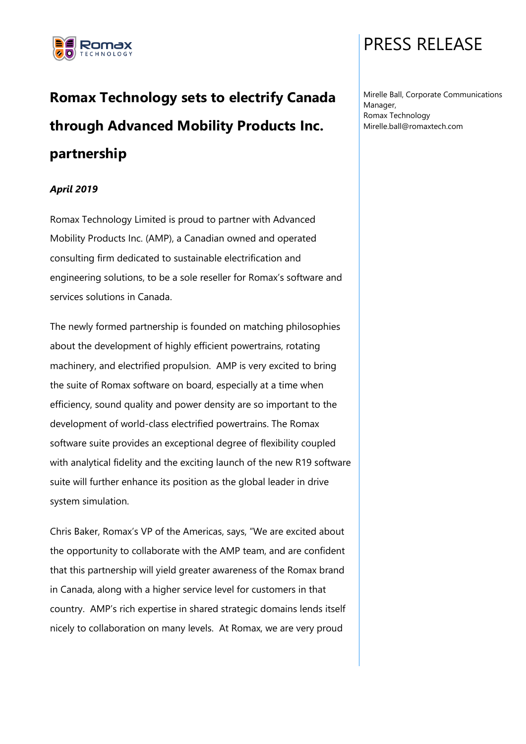

# **Romax Technology sets to electrify Canada through Advanced Mobility Products Inc. partnership**

### *April 2019*

Romax Technology Limited is proud to partner with Advanced Mobility Products Inc. (AMP), a Canadian owned and operated consulting firm dedicated to sustainable electrification and engineering solutions, to be a sole reseller for Romax's software and services solutions in Canada.

The newly formed partnership is founded on matching philosophies about the development of highly efficient powertrains, rotating machinery, and electrified propulsion. AMP is very excited to bring the suite of Romax software on board, especially at a time when efficiency, sound quality and power density are so important to the development of world-class electrified powertrains. The Romax software suite provides an exceptional degree of flexibility coupled with analytical fidelity and the exciting launch of the new R19 software suite will further enhance its position as the global leader in drive system simulation.

Chris Baker, Romax's VP of the Americas, says, "We are excited about the opportunity to collaborate with the AMP team, and are confident that this partnership will yield greater awareness of the Romax brand in Canada, along with a higher service level for customers in that country. AMP's rich expertise in shared strategic domains lends itself nicely to collaboration on many levels. At Romax, we are very proud

## PRESS RELEASE

Mirelle Ball, Corporate Communications Manager, Romax Technology Mirelle.ball@romaxtech.com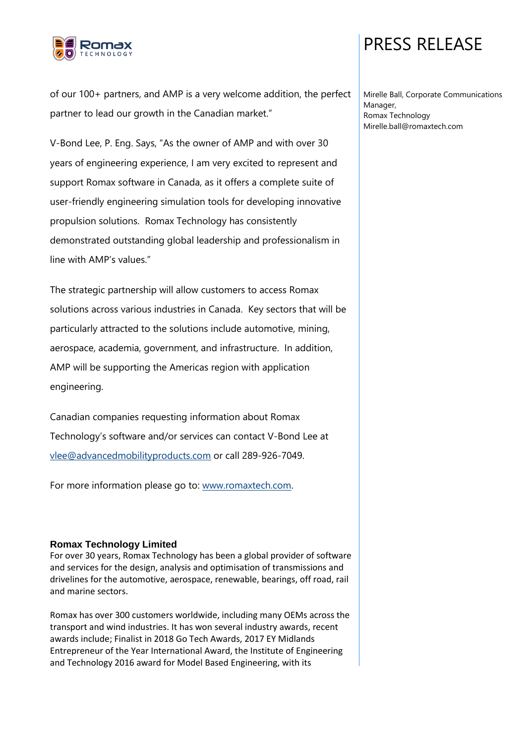

### PRESS RELEASE

of our 100+ partners, and AMP is a very welcome addition, the perfect partner to lead our growth in the Canadian market."

V-Bond Lee, P. Eng. Says, "As the owner of AMP and with over 30 years of engineering experience, I am very excited to represent and support Romax software in Canada, as it offers a complete suite of user-friendly engineering simulation tools for developing innovative propulsion solutions. Romax Technology has consistently demonstrated outstanding global leadership and professionalism in line with AMP's values."

The strategic partnership will allow customers to access Romax solutions across various industries in Canada. Key sectors that will be particularly attracted to the solutions include automotive, mining, aerospace, academia, government, and infrastructure. In addition, AMP will be supporting the Americas region with application engineering.

Canadian companies requesting information about Romax Technology's software and/or services can contact V-Bond Lee at [vlee@advancedmobilityproducts.com](mailto:vlee@advancedmobilityproducts.com) or call 289-926-7049.

For more information please go to: [www.romaxtech.com.](http://www.romaxtech.com/)

#### **Romax Technology Limited**

For over 30 years, Romax Technology has been a global provider of software and services for the design, analysis and optimisation of transmissions and drivelines for the automotive, aerospace, renewable, bearings, off road, rail and marine sectors.

Romax has over 300 customers worldwide, including many OEMs across the transport and wind industries. It has won several industry awards, recent awards include; Finalist in 2018 Go Tech Awards, 2017 EY Midlands Entrepreneur of the Year International Award, the Institute of Engineering and Technology 2016 award for Model Based Engineering, with its

Mirelle Ball, Corporate Communications Manager, Romax Technology Mirelle.ball@romaxtech.com